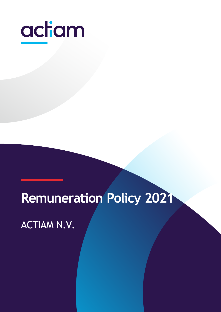

# **Remuneration Policy 2021**

ACTIAM N.V.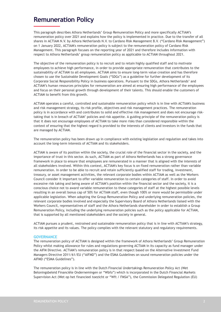# **Remuneration Policy**

This paragraph describes Athora Netherlands' Group Remuneration Policy and more specifically ACTIAM's remuneration policy over 2021 and explains how the policy is implemented in practice. Due to the transfer of all shares in ACTIAM N.V. by Athora Netherlands N.V. to Cardano Risk Management B.V. ("Cardano Risk Management") on 1 January 2022, ACTIAM's remuneration policy is subject to the remuneration policy of Cardano Risk Management. This paragraph focuses on the reporting year of 2021 and therefore includes information with respect to Athora Netherlands' group remuneration policy as applicable to ACTIAM throughout 2021.

The objective of the remuneration policy is to recruit and to retain highly qualified staff and to motivate employees to achieve high performance, in order to provide appropriate remuneration that contributes to the sustainability of ACTIAM to all employees. ACTIAM aims to ensure long-term value creation and has therefore chosen to use the Sustainable Development Goals ("SDGs") as a guideline for further development of its Corporate Social Responsibility Policy in business operations. Pursuant to the SDGs, Athora Netherlands' and ACTIAM's human resources principles for remuneration are aimed at ensuring high performance of the employees and focus on their personal growth through development of their talents. This should enable the customers of ACTIAM to benefit from this growth.

ACTIAM operates a careful, controlled and sustainable remuneration policy which is in line with ACTIAM's business and risk management strategy, its risk profile, objectives and risk management practices. The remuneration policy is in accordance with and contributes to solid and effective risk management and does not encourage risktaking that is in breach of ACTIAM' policies and risk appetite. A guiding principle of the remuneration policy is that it does not encourage employees of ACTIAM to take more risks than considered responsible within the context of ensuring that the highest regard is provided to the interests of clients and investors in the funds that are managed by ACTIAM.

The remuneration policy has been drawn up in compliance with existing legislation and regulation and takes into account the long-term interests of ACTIAM and its stakeholders.

ACTIAM is aware of its position within the society, the crucial role of the financial sector in the society, and the importance of trust in this sector. As such, ACTIAM as part of Athora Netherlands has a strong governance framework in place to ensure that employees are remunerated in a manner that is aligned with the interests of all stakeholders involved. Within this context, ACTIAM's key focus is on fixed remuneration rather than variable remuneration. In order to be able to recruit and retain sufficiently qualified staff for trading, investment, treasury, or asset management activities, the relevant corporate bodies within ACTIAM as well as the Workers Council consider it important to offer variable remuneration to certain categories of staff. In order to avoid excessive risk taking and being aware of ACTIAM's position within the financial sector and the society, it is a conscious choice not to award variable remuneration to these categories of staff at the highest possible levels resulting in an overall bonus cap of 50% for ACTIAM staff, even though 100% or more would be permissible under applicable legislation. When adopting the Group Remuneration Policy and underlying remuneration policies, the relevant corporate bodies involved and especially the Supervisory Board of Athora Netherlands liaised with the Workers Council, representatives of staff and the Athora Netherlands shareholder in order to establish a Group Remuneration Policy, including the underlying remuneration policies such as the policy applicable for ACTIAM, that is supported by all mentioned stakeholders and the society in general.

ACTIAM pursues a prudent, restrained and sustainable remuneration policy that is in line with ACTIAM's strategy, its risk appetite and its values. The policy complies with the relevant statutory and regulatory requirements.

#### **GOVERNANCE**

The remuneration policy of ACTIAM is designed within the framework of Athora Netherlands' Group Remuneration Policy whilst making allowance for rules and regulations governing ACTIAM in its capacity as fund manager under the AIFM Directive. ACTIAM's remuneration policy is in that respect based on the Alternative Investment Fund Managers Directive 2011/61/EU ("AIFMD") and the ESMA Guidelines on sound remuneration policies under the AIFMD ("ESMA Guidelines").

The remuneration policy is in line with the Dutch Financial Undertakings Remuneration Policy Act (Wet Beloningsbeleid Financiële Ondernemingen or "Wbfo") which is incorporated in the Dutch Financial Markets Supervision Act (Wet op het financieel toezicht or "Wft / FMSA"), the Commission Delegated Regulation (EU)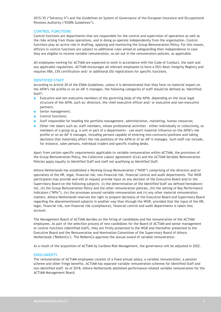2015/35 ("Solvency II") and the Guidelines on System of Governance of the European Insurance and Occupational Pensions Authority ("EIOPA Guidelines").

# **CONTROL FUNCTIONS**

Control functions are departments that are responsible for the control and supervision of operations as well as the risks arising from those operations, and in doing so operate independently from the organisation. Control functions play an active role in drafting, applying and monitoring the Group Remuneration Policy. For this reason, officers in control functions are subject to additional rules aimed at safeguarding their independence in case they are eligible to receive variable remuneration, as set out in the remuneration policies, as applicable.

All employees working for ACTIAM are expected to work in accordance with the Code of Conduct, the oath and any applicable regulations. ACTIAM encourages all relevant employees to have a DSI's Basic Integrity Registry and requires VBA, CFA certification and/ or additional DSI registrations for specific functions.

## **IDENTIFIED STAFF**

According to Article 20 of the ESMA Guidelines, unless it is demonstrated that they have no material impact on the AIFM's risk profile or on an AIF it manages, the following categories of staff should be defined as 'Identified Staff':

- Executive and non-executive members of the governing body of the AIFM, depending on the local legal structure of the AIFM, such as: directors, the chief executive officer and/ or executive and non-executive partners;
- Senior management;
- Control functions;
- Staff responsible for heading the portfolio management, administration, marketing, human resources;
- Other risk takers such as: staff members, whose professional activities either individually or collectively, as members of a group (e.g. a unit or part of a department) – can exert material influence on the AIFM's risk profile or on an AIF it manages, including persons capable of entering into contracts/positions and taking decisions that materially affect the risk positions of the AIFM or of an AIF it manages. Such staff can include, for instance, sales persons, individual traders and specific trading desks.

Apart from certain specific requirements applicable to variable remuneration within ACTIAM, the provisions of the Group Remuneration Policy, the Collective Labour Agreement (CLA) and the ACTIAM Variable Remuneration Policies apply equally to Identified Staff and staff not qualifying as Identified Staff.

Athora Netherlands has established a Working Group Remuneration ("WGR") comprising of the directors and/or specialists of the HR, legal, financial risk, non-financial risk, financial control and audit departments. The WGR participants may provide and will at request provide input on any decision of the Executive Board and/or the Supervisory Board on the following subjects: (i) the determination of the Identified Staff (as defined hereabove) list, (ii) the Group Remuneration Policy and the other remuneration policies, (iii) the setting of Key Performance Indicators ("KPIs"), (iv) the processes around variable remuneration and (v) any other material remuneration matters. Athora Netherlands reserves the right to prepare decisions of the Executive Board and Supervisory Board regarding the abovementioned subjects in another way than through the WGR, provided that the input of the HR, legal, financial risk, non-financial risk (compliance), financial control and audit departments is taken into account.

The Management Board of ACTIAM decides on the hiring of candidates and the remuneration of the ACTIAM employees. As part of the selection process of new candidates for the Board of ACTIAM and senior management or control functions (identified staff), they are firstly presented to the WGR and thereafter presented to the Executive Board and the Remuneration and Nomination Committee of the Supervisory Board of Athora Netherlands ("ReNomCo"). The ReNomCo approves the annual award of variable remuneration.

As a result of the acquisition of ACTIAM by Cardano Risk Management, the governance will be adjusted in 2022.

## **EMOLUMENTS**

The remuneration of ACTIAM employees consists of a fixed annual salary, a variable remuneration, a pension scheme and other fringe benefits. ACTIAM has separate variable remuneration schemes for Identified Staff and non-identified staff. As of 2018, Athora Netherlands abolished performance-related variable remuneration for the ACTIAM Management Board.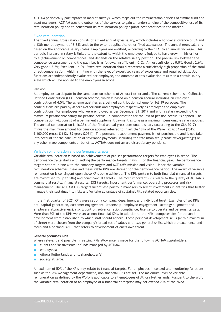ACTIAM periodically participates in market surveys, which maps out the remuneration policies of similar fund and asset managers. ACTIAM uses the outcomes of the surveys to gain an understanding of the competitiveness of its remuneration policy and to benchmark its remuneration policy against best practices in the market.

#### **Fixed remuneration**

The fixed annual gross salary consists of a fixed annual gross salary, which includes a holiday allowance of 8% and a 13th month payment of 8.33% and, to the extent applicable, other fixed allowances. The annual gross salary is based on the applicable salary scales. Employees are entitled, according to the CLA, to an annual increase. This periodic increase in salary is linked to the extent to which the employee is judged to have grown in his or her role (achievement on competences) and depends on the relative salary position. The precise link between the competence assessment and the pay rise, is as follows: Insufficient : 0.0%; Almost sufficient : 0.0%; Good : 2.6%; Very good : 3.3%; Excellent : 4.0%. Fixed remuneration should represent a sufficiently high proportion of the total direct compensation, which is in line with the level of expertise, years of experience and required skills. Job functions are independently evaluated per employee, the outcome of this evaluation results in a certain salary scale which will be applied to the employees in scope.

#### **Pension**

All employees participate in the same pension scheme of Athora Netherlands. The current scheme is a Collective Defined Contribution (CDC) pension scheme, which is based on a pension accrual including an employee contribution of 4.5%. The scheme qualifies as a defined contribution scheme for IAS 19 purposes. The contributions are paid by Athora Netherlands and employees respectively as employer and employee contributions. For employees who were employed as per December 31, 2017 and with a salary exceeding the maximum pensionable salary for pension accrual, a compensation for the loss of pension accrual is applied. The compensation will consist of a permanent supplement payment as long as a maximum pensionable salary applies. The annual compensation is 16.35% of the fixed annual gross pensionable salary (according to the CLA 2017) minus the maximum amount for pension accrual referred to in article 18ga of the Wage Tax Act 1964 (2015: € 100,000 gross; € 112,189 gross (2021)). The permanent supplement payment is not pensionable and is not taken into account for the calculation of severance payments, including the transition fee ("*transitievergoeding*") or any other wage components or benefits. ACTIAM does not award discretionary pensions.

#### **Variable remuneration and performance targets**

Variable remuneration is based on achievements of pre-set performance targets for employees in scope. The performance cycle starts with setting the performance targets ("KPIs") for the financial year. The performance targets set are in line with the company targets and ACTIAM's mission and vision. Under the variable remuneration schemes, clear and measurable KPIs are defined for the performance period. The award of variable remuneration is contingent upon these KPIs being achieved. The KPIs pertain to both financial (financial targets are maximised to up to 50%) and non-financial targets. The most important KPIs relate to the quality of ACTIAM's commercial results, financial results, ESG targets, investment performance, operating processes and risk management. The ACTIAM ESG targets incentivise portfolio managers to select investments in entities that better manage their sustainability risks and/or take advantage of sustainability related opportunities.

In the first quarter of 2021 KPIs were set on a company, department and individual level. Examples of set KPIs are: capital generation, customer engagement, leadership (employee engagement, strategy alignment and employer's attractiveness), risk & control, solvency ratio, compliance, license to operate and personal targets. More than 50% of the KPIs were set as non-financial KPIs. In addition to the KPIs, competencies for personal development were established to which staff should adhere. These personal development skills (with a maximum of three) were chosen from the company's broad set of values with two general skills, which are excellence and focus and a personal skill, that refers to development of one's own talent.

#### **General premises KPIs**

Where relevant and possible, in setting KPIs allowance is made for the following ACTIAM stakeholders:

- clients and/or investors in funds managed by ACTIAM;
- employees;
- Athora Netherlands and its shareholder(s);
- society at large.

A maximum of 50% of the KPIs may relate to financial targets. For employees in control and monitoring functions, such as the Risk Management department, non-financial KPIs are set. The maximum level of variable remuneration as defined by the Wbfo is applicable to all employees of Athora Netherlands. Pursuant to the Wbfo, the variable remuneration of an employee of a financial enterprise may not exceed 20% of the fixed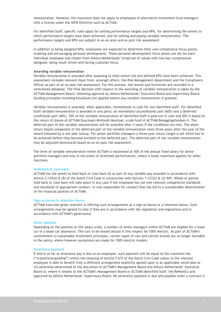remuneration. However, this maximum does not apply to employees of alternative investment fund managers with a license under the AIFM Directive such as ACTIAM.

For Identified Staff, specific rules apply for setting performance targets and KPIs, for determining the extent to which performance targets have been achieved, and for setting and paying variable remuneration. The performance targets and KPIs are subject to an ex ante and ex post risk assessment.

In addition to being assigned KPIs, employees are expected to determine their own competence focus points, enabling and encouraging personal development. These personal development focus points are set for each individual employee and chosen from Athora Netherlands' broad set of values with two key competences designed: being result driven and having customer focus.

#### **Awarding variable remuneration**

Variable remuneration is awarded after assessing to what extent the pre-defined KPIs have been achieved. This assessment includes relevant input from, amongst others, the Risk Management department and the Compliance Officer as part of an ex post risk assessment. For this process, the results and incentives are recorded in a centralised database. The final decision with respect to the awarding of variable remuneration is taken by the ACTIAM Management Board, following approval by Athora Netherlands' Executive Board and Supervisory Board. Guiding principles including knockouts are applied before any variable remuneration is granted.

Variable remuneration is awarded, when applicable, immediately in cash for non-identified staff. For Identified Staff variable remuneration is awarded in two parts: an immediate/unconditional part (60%) and a deferred/ conditional part (40%). 50% of the variable remuneration of Identified Staff is paid out in cash and 50% is based on the return of shares of ACTIAM Duurzaam Mixfonds Neutraal, a sub-fund of ACTIAM Beleggingsfondsen II. The deferred part of the variable remuneration will be awarded after 3 years if the conditions are met. The share return based component of the deferred part of the variable remuneration vests three years after the year of the award followed by a one year lockup. For senior portfolio managers a three-year return target is set which has to be achieved before they become entitled to the deferred part. The deferred part of the variable remuneration may be adjusted downwards based on an ex post risk assessment.

The level of variable remuneration within ACTIAM is maximised at 50% of the annual fixed salary for senior portfolio managers and only in the event of stretched performances, where a lower maximum applies for other functions.

#### **Hold back & claw back**

ACTIAM has the power to hold back or claw back all or part of any variable pay awarded in accordance with Article 2:135(6)  $\&$  (8) of the Dutch Civil Code in conjunction with Section 1:127(2)  $\&$  (3) Wft. Whole or partial hold back or claw back will take place in any case if the employee has not met relevant competence standards and standards of appropriate conduct, or was responsible for conduct that has led to a considerable deterioration of the financial position of ACTIAM.

#### **Sign-on bonus & retention bonus**

ACTIAM exercises great restraint in offering such arrangements as a sign-on bonus or a retention bonus. Such arrangements may be agreed to only if they are in accordance with the legislation and regulations and in accordance with ACTIAM's governance.

#### **Other benefits**

Depending on the position on the salary scale, a number of senior managers within ACTIAM are eligible for a lease car or a lease car allowance. The cars to be leased should in this respect be 100% electric. As part of ACTIAM's commitment to sustainable investment principles, certain types of cars and certain brands are no longer included in the policy, where however exceptions are made for 100% electric models.

#### **Severance payment**

If and in so far as severance pay is due to an employee, such payment will be equal to the transition fee ("*transitievergoeding*") within the meaning of Article 7:673 of the Dutch Civil Code unless (i) the relevant employee is able to benefit from a different arrangement explicitly agreed upon in an applicable social plan or (ii) otherwise determined at the discretion of ACTIAM's Management Board and Athora Netherlands' Executive Board or, where it relates to the ACTIAM's Management Board or ACTIAM Identified Staff, the ReNomCo and approved by Athora Netherlands' Supervisory Board. No severance payment is due and payable when a contract is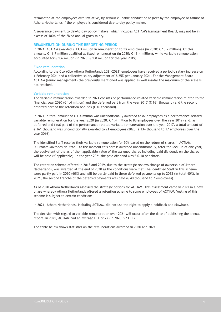terminated at the employees own initiative, by serious culpable conduct or neglect by the employee or failure of Athora Netherlands if the employee is considered day-to-day policy maker.

A severance payment to day-to-day policy makers, which includes ACTIAM's Management Board, may not be in excess of 100% of the fixed annual gross salary.

#### **REMUNERATION DURING THE REPORTING PERIOD**

In 2021, ACTIAM awarded € 13.3 million in remuneration to its employees (in 2020: € 15.2 million). Of this amount, € 11.7 million qualified as fixed remuneration (in 2020: € 13.4 million), while variable remuneration accounted for € 1.6 million (in 2020:  $€$  1.8 million for the year 2019).

#### **Fixed remuneration**

According to the CLA (CLA Athora Netherlands 2021-2023) employees have received a periodic salary increase on 1 February 2021 and a collective salary adjustment of 2.25% per January 2021. For the Management Board ACTIAM (senior management) the previously mentioned was applied as well insofar the maximum of the scale is not reached.

#### **Variable remuneration**

The variable remuneration awarded in 2021 consists of performance-related variable remuneration related to the financial year 2020 ( $\epsilon$  1.4 million) and the deferred part from the year 2017 ( $\epsilon$  161 thousand) and the second deferred part of the retention bonuses ( $\epsilon$  40 thousand).

In 2021, a total amount of € 1.4 million was unconditionally awarded to 82 employees as a performance-related variable remuneration for the year 2020 (in 2020: € 1.4 million to 88 employees over the year 2019) and, as deferred and final part of the performance-related variable remuneration over the year 2017, a total amount of € 161 thousand was unconditionally awarded to 21 employees (2020: € 134 thousand to 17 employees over the year 2016).

The Identified Staff receive their variable remuneration for 50% based on the return of shares in ACTIAM Duurzaam Mixfonds Neutraal. At the moment this part is awarded unconditionally, after the lock-up of one year, the equivalent of the as of then applicable value of the assigned shares including paid dividends on the shares will be paid (if applicable). In the year 2021 the paid dividend was € 0.10 per share.

The retention scheme offered in 2018 and 2019, due to the strategic review/change of ownership of Athora Netherlands, was awarded at the end of 2020 as the conditions were met.The Identified Staff in this scheme were partly paid in 2020 (60%) and will be partly paid in three deferred payments up to 2023 (in total 40%). In 2021, the second tranche of the deferred payments was paid ( $\epsilon$  40 thousand to 7 employees).

As of 2020 Athora Netherlands assessed the strategic options for ACTIAM. This assessment came in 2021 in a new phase whereby Athora Netherlands offered a retention scheme to some employees of ACTIAM. Vesting of this scheme is subject to certain conditions.

In 2021, Athora Netherlands, including ACTIAM, did not use the right to apply a holdback and clawback.

The decision with regard to variable remuneration over 2021 will occur after the date of publishing the annual report. In 2021, ACTIAM had an average FTE of 77 (in 2020: 92 FTE).

The table below shows statistics on the remunerations awarded in 2020 and 2021.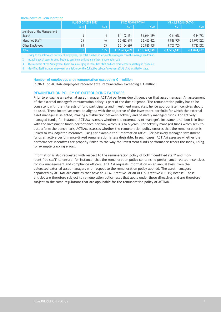#### Breakdown of Remuneration

|                               | I NUMBER OF RECIPIENTS <sup>1</sup> |      | <b>FIXED REMUNERATION<sup>2</sup></b> |              | VARIABLE REMUNERATION |             |
|-------------------------------|-------------------------------------|------|---------------------------------------|--------------|-----------------------|-------------|
|                               | 2021                                | 2020 | 2021                                  | 2020         | 2021                  | 2020        |
| Members of the Management     |                                     |      |                                       |              |                       |             |
| Board <sup>3</sup>            |                                     | 4    | € 1,102,151                           | € 1,044,289  | €41,028               | € 34,763    |
| Identified Staff <sup>4</sup> | 35                                  | 46   | € 5,422,618                           | € 6,453,452  | € 836,909             | € 1,077,232 |
| Other Employees               | 63                                  | 55   | € 5,154,690                           | € 5,880,358  | € 707,705             | € 732,212   |
| <b>Total</b>                  | 101                                 | 105  | € 11,679,459                          | € 13,378,099 | € 1,585,642           | € 1,844,207 |

1 Owing to the inflow and outflow of employees, the total number of recipients was higher than the average headcount.

2 Including social security contributions, pension premiums and other remuneration paid.

3 The members of the Management Board are a category of Identified Staff and are represented separately in this table.

4 Identified Staff includes employees who fall under the Collective Labour Agreement (CLA) of Athora Netherlands.

#### **Number of employees with remuneration exceeding € 1 million**

In 2021, no ACTIAM employees received total remuneration exceeding € 1 million.

#### **REMUNERATION POLICY OF OUTSOURCING PARTNERS**

Prior to engaging an external asset manager ACTIAM performs due diligence on that asset manager. An assessment of the external manager's remuneration policy is part of the due diligence. The remuneration policy has to be consistent with the interests of fund participants and investment mandates, hence appropriate incentives should be used. These incentives must be aligned with the objective of the investment portfolio for which the external asset manager is selected, making a distinction between actively and passively managed funds. For actively managed funds, for instance, ACTIAM assesses whether the external asset manager's investment horizon is in line with the investment fund's performance horizon, which is 3 to 5 years. For actively managed funds which seek to outperform the benchmark, ACTIAM assesses whether the remuneration policy ensures that the remuneration is linked to risk-adjusted measures, using for example the 'information ratio'. For passively managed investment funds an active performance-linked remuneration is less desirable. In such cases, ACTIAM assesses whether the performance incentives are properly linked to the way the investment fund's performance tracks the index, using for example tracking errors.

Information is also requested with respect to the remuneration policy of both 'identified staff' and 'nonidentified staff' to ensure, for instance, that the remuneration policy contains no performance-related incentives for risk management and compliance officers. ACTIAM requests information on an annual basis from the delegated external asset managers with respect to the remuneration policy applied. The asset managers appointed by ACTIAM are entities that have an AIFM Directive- or an UCITS Directive (UCITS) license. These entities are therefore subject to remuneration policy rules that apply under these directives and are therefore subject to the same regulations that are applicable for the remuneration policy of ACTIAM.